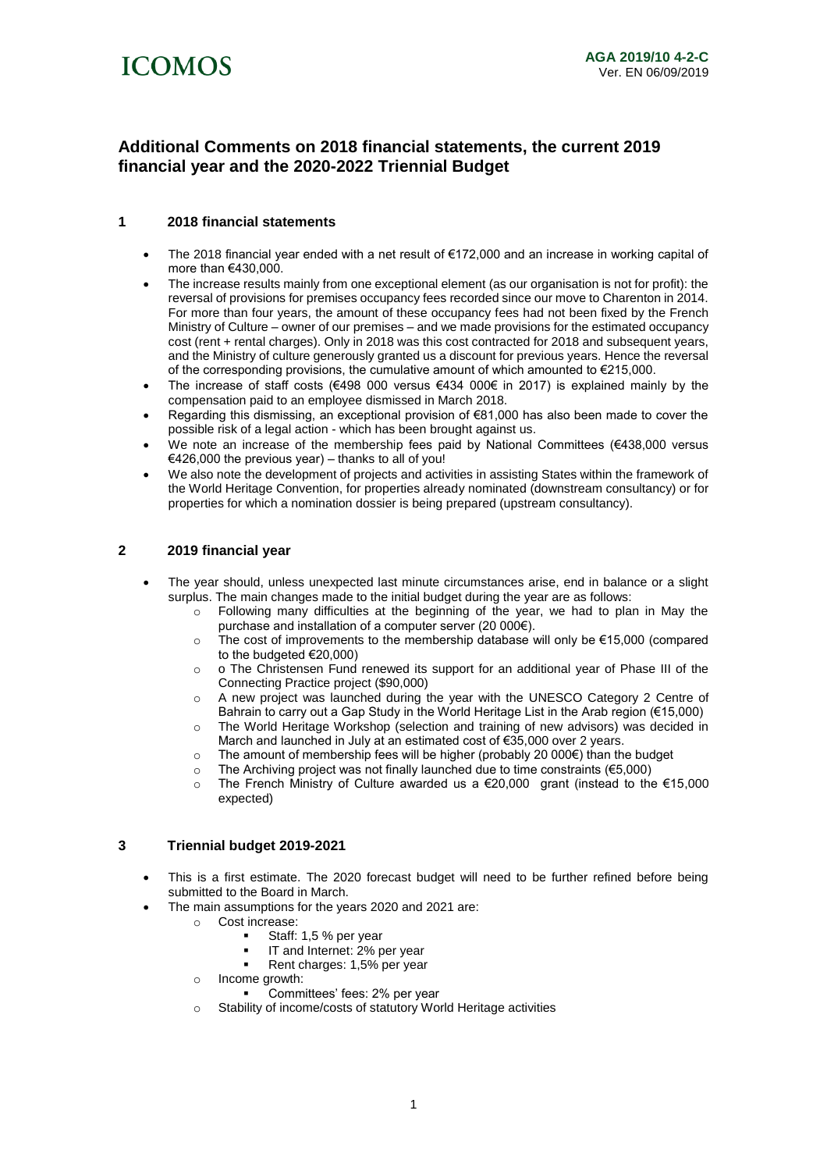

# **Additional Comments on 2018 financial statements, the current 2019 financial year and the 2020-2022 Triennial Budget**

# **1 2018 financial statements**

- The 2018 financial year ended with a net result of €172,000 and an increase in working capital of more than €430,000.
- The increase results mainly from one exceptional element (as our organisation is not for profit): the reversal of provisions for premises occupancy fees recorded since our move to Charenton in 2014. For more than four years, the amount of these occupancy fees had not been fixed by the French Ministry of Culture – owner of our premises – and we made provisions for the estimated occupancy cost (rent + rental charges). Only in 2018 was this cost contracted for 2018 and subsequent years, and the Ministry of culture generously granted us a discount for previous years. Hence the reversal of the corresponding provisions, the cumulative amount of which amounted to  $\epsilon$ 215,000.
- The increase of staff costs (€498 000 versus €434 000€ in 2017) is explained mainly by the compensation paid to an employee dismissed in March 2018.
- Regarding this dismissing, an exceptional provision of €81,000 has also been made to cover the possible risk of a legal action - which has been brought against us.
- We note an increase of the membership fees paid by National Committees  $(€438,000$  versus €426,000 the previous year) – thanks to all of you!
- We also note the development of projects and activities in assisting States within the framework of the World Heritage Convention, for properties already nominated (downstream consultancy) or for properties for which a nomination dossier is being prepared (upstream consultancy).

# **2 2019 financial year**

- The year should, unless unexpected last minute circumstances arise, end in balance or a slight surplus. The main changes made to the initial budget during the year are as follows:
	- $\circ$  Following many difficulties at the beginning of the year, we had to plan in May the purchase and installation of a computer server (20 000€).
	- $\circ$  The cost of improvements to the membership database will only be  $\epsilon$ 15,000 (compared to the budgeted €20,000)
	- o o The Christensen Fund renewed its support for an additional year of Phase III of the Connecting Practice project (\$90,000)
	- o A new project was launched during the year with the UNESCO Category 2 Centre of Bahrain to carry out a Gap Study in the World Heritage List in the Arab region (€15,000)
	- o The World Heritage Workshop (selection and training of new advisors) was decided in March and launched in July at an estimated cost of €35,000 over 2 years.
	- o The amount of membership fees will be higher (probably 20 000€) than the budget
	- o The Archiving project was not finally launched due to time constraints (€5,000)
	- o The French Ministry of Culture awarded us a €20,000 grant (instead to the €15,000 expected)

### **3 Triennial budget 2019-2021**

- This is a first estimate. The 2020 forecast budget will need to be further refined before being submitted to the Board in March.
- The main assumptions for the years 2020 and 2021 are:
	- o Cost increase:
		- Staff: 1,5 % per year
		- IT and Internet: 2% per year
		- Rent charges: 1,5% per year
		- o Income growth:
			- Committees' fees: 2% per year
		- o Stability of income/costs of statutory World Heritage activities